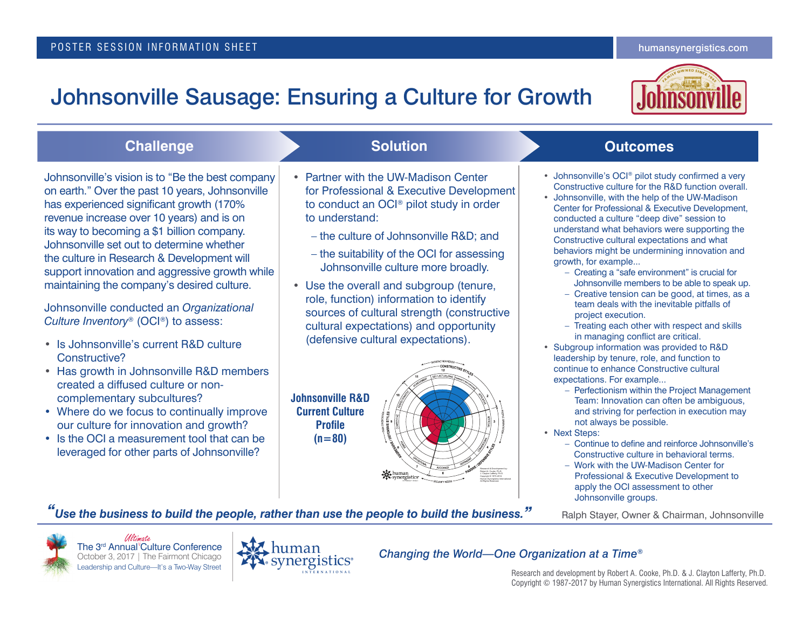# Johnsonville Sausage: Ensuring a Culture for Growth



| <b>Challenge</b>                                                                                                                                                                                                                                                                                                                                                                                                                                                                                                                                                                                                                                                                                                                                                                                                                                                                                                    | <b>Solution</b>                                                                                                                                                                                                                                                                                                                                                                                                                                                                                                                                                                                                                                | <b>Outcomes</b>                                                                                                                                                                                                                                                                                                                                                                                                                                                                                                                                                                                                                                                                                                                                                                                                                                                                                                                                                                                                                                                                                                                                                                                                                                                                                                                                                                     |
|---------------------------------------------------------------------------------------------------------------------------------------------------------------------------------------------------------------------------------------------------------------------------------------------------------------------------------------------------------------------------------------------------------------------------------------------------------------------------------------------------------------------------------------------------------------------------------------------------------------------------------------------------------------------------------------------------------------------------------------------------------------------------------------------------------------------------------------------------------------------------------------------------------------------|------------------------------------------------------------------------------------------------------------------------------------------------------------------------------------------------------------------------------------------------------------------------------------------------------------------------------------------------------------------------------------------------------------------------------------------------------------------------------------------------------------------------------------------------------------------------------------------------------------------------------------------------|-------------------------------------------------------------------------------------------------------------------------------------------------------------------------------------------------------------------------------------------------------------------------------------------------------------------------------------------------------------------------------------------------------------------------------------------------------------------------------------------------------------------------------------------------------------------------------------------------------------------------------------------------------------------------------------------------------------------------------------------------------------------------------------------------------------------------------------------------------------------------------------------------------------------------------------------------------------------------------------------------------------------------------------------------------------------------------------------------------------------------------------------------------------------------------------------------------------------------------------------------------------------------------------------------------------------------------------------------------------------------------------|
| Johnsonville's vision is to "Be the best company<br>on earth." Over the past 10 years, Johnsonville<br>has experienced significant growth (170%<br>revenue increase over 10 years) and is on<br>its way to becoming a \$1 billion company.<br>Johnsonville set out to determine whether<br>the culture in Research & Development will<br>support innovation and aggressive growth while<br>maintaining the company's desired culture.<br>Johnsonville conducted an Organizational<br>Culture Inventory <sup>®</sup> (OCI <sup>®</sup> ) to assess:<br>• Is Johnsonville's current R&D culture<br>Constructive?<br>• Has growth in Johnsonville R&D members<br>created a diffused culture or non-<br>complementary subcultures?<br>• Where do we focus to continually improve<br>our culture for innovation and growth?<br>• Is the OCI a measurement tool that can be<br>leveraged for other parts of Johnsonville? | • Partner with the UW-Madison Center<br>for Professional & Executive Development<br>to conduct an OCI <sup>®</sup> pilot study in order<br>to understand:<br>- the culture of Johnsonville R&D and<br>- the suitability of the OCI for assessing<br>Johnsonville culture more broadly.<br>• Use the overall and subgroup (tenure,<br>role, function) information to identify<br>sources of cultural strength (constructive<br>cultural expectations) and opportunity<br>(defensive cultural expectations).<br><b>Johnsonville R&amp;D</b><br><b>Current Culture</b><br>DE ENSIVE STYLES<br><b>Profile</b><br>$(n=80)$<br><b>K</b> synergistics | • Johnsonville's OCI <sup>®</sup> pilot study confirmed a very<br>Constructive culture for the R&D function overall.<br>• Johnsonville, with the help of the UW-Madison<br>Center for Professional & Executive Development,<br>conducted a culture "deep dive" session to<br>understand what behaviors were supporting the<br>Constructive cultural expectations and what<br>behaviors might be undermining innovation and<br>growth, for example<br>- Creating a "safe environment" is crucial for<br>Johnsonville members to be able to speak up.<br>- Creative tension can be good, at times, as a<br>team deals with the inevitable pitfalls of<br>project execution.<br>- Treating each other with respect and skills<br>in managing conflict are critical.<br>• Subgroup information was provided to R&D<br>leadership by tenure, role, and function to<br>continue to enhance Constructive cultural<br>expectations. For example<br>- Perfectionism within the Project Management<br>Team: Innovation can often be ambiguous,<br>and striving for perfection in execution may<br>not always be possible.<br>• Next Steps:<br>- Continue to define and reinforce Johnsonville's<br>Constructive culture in behavioral terms.<br>- Work with the UW-Madison Center for<br>Professional & Executive Development to<br>apply the OCI assessment to other<br>Johnsonville groups. |
|                                                                                                                                                                                                                                                                                                                                                                                                                                                                                                                                                                                                                                                                                                                                                                                                                                                                                                                     | Use the business to build the people, rather than use the people to build the business."                                                                                                                                                                                                                                                                                                                                                                                                                                                                                                                                                       | Ralph Stayer, Owner & Chairman, Johnsonville                                                                                                                                                                                                                                                                                                                                                                                                                                                                                                                                                                                                                                                                                                                                                                                                                                                                                                                                                                                                                                                                                                                                                                                                                                                                                                                                        |





*Changing the World—One Organization at a Time®*

Research and development by Robert A. Cooke, Ph.D. & J. Clayton Lafferty, Ph.D. Copyright © 1987-2017 by Human Synergistics International. All Rights Reserved.